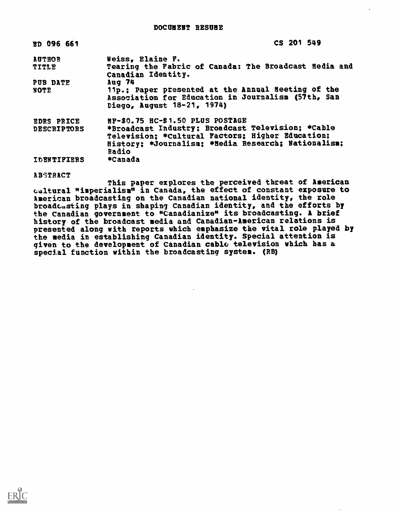| ED 096 661         | CS 201 549                                                                       |
|--------------------|----------------------------------------------------------------------------------|
| <b>AUTHOR</b>      | Weiss, Elaine F.                                                                 |
| <b>TITLE</b>       | Tearing the Fabric of Canada: The Broadcast Media and<br>Canadian Identity.      |
| PUB DATE           | Aug 74                                                                           |
| <b>NOTE</b>        | 11p.; Paper presented at the Annual Neeting of the                               |
|                    | Association for Education in Journalism (57th, San<br>Diego, August 18-21, 1974) |
| EDRS PRICE         | MF-\$0.75 HC-\$1.50 PLUS POSTAGE                                                 |
| <b>DESCRIPTORS</b> | *Broadcast Industry; Broadcast Television; *Cable                                |
|                    | Television: *Cultural Factors; Higher Education;                                 |
|                    | History: *Journalism: *Hedia Research: Nationalism:<br>Radio                     |
| <b>IDENTIFIERS</b> | *Canada                                                                          |

**ABSTRACT** 

This paper explores the perceived threat of American cultural "imperialism" in Canada, the effect of constant exposure to American broadcasting on the Canadian national identity, the role broadcasting plays in shaping Canadian identity, and the efforts by the Canadian government to "Canadianize" its broadcasting. A brief history of the broadcast media and Canadian-American relations is presented along with reports which emphasize the vital role played by the media in establishing Canadian identity. Special attention is given to the development of Canadian cable television which has a special function within the broadcasting system. (RB)

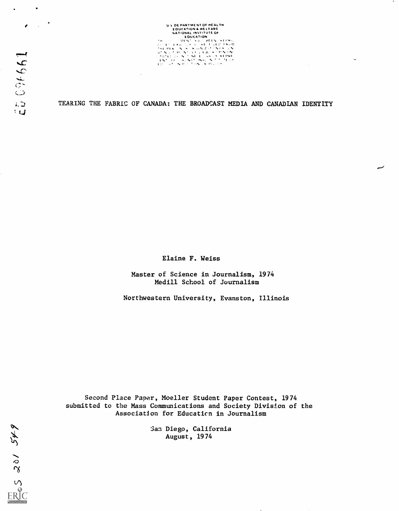US DE PARTMENT OF MEALTH<br>
EDUCATION<br>
HAT IONAL INSTITUTE OF<br>
HAT IONAL INSTITUTE OF<br>
HAT TONAL INSTITUTE OF<br>
HAT TONAL INSTITUTE OF HAT TO SAFE OF THE OF-<br>
HAT TONAL INSTITUTE OF-. <sup>6</sup> <sup>4</sup> +:.1' 0., ^.1. <sup>I</sup>

TEARING THE FABRIC OF CANADA: THE BROADCAST MEDIA AND CANADIAN IDENTITY

Elaine F. Weiss

Master of Science in Journalism, 1974 Medill School of Journalism

Northwestern University, Evanston, Illinois

Second Place Paper, Moeller Student Paper Contest, 1974 submitted to the Mass Communications and Society Division of the Association for Educaticn in Journalism

> San Diego, California August, 1974

 $\mathbf{r}$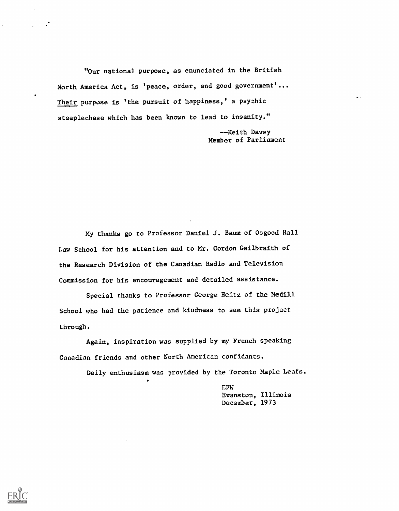'Our national purpose, as enunciated in the British North America Act, is 'peace, order, and good government'... Their purpose is 'the pursuit of happiness,' a psychic steeplechase which has been known to lead to insanity."

> --Keith Davey Member of Parliament

My thanks go to Professor Daniel J. Baum of Osgood Hall Law School for his attention and to Mr. Gordon Gailbraith of the Research Division of the Canadian Radio and Television Commission for his encouragement and detailed assistance.

Special thanks to Professor George Heitz of the Medill School who had the patience and kindness to see this project through.

Again, inspiration was supplied by my French speaking Canadian friends and other North American confidants.

Daily enthusiasm was provided by the Toronto Maple Leafs.

EFW Evanston, Illinois December, 1973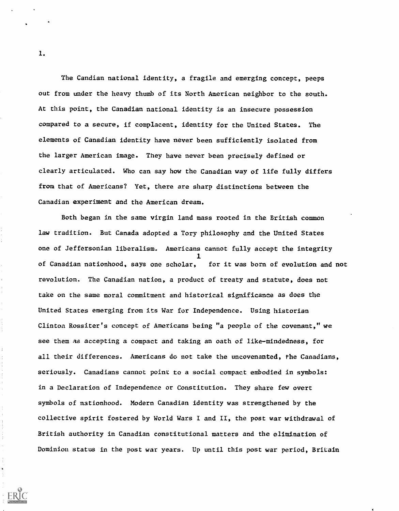The Candian national identity, a fragile and emerging concept, peeps out from under the heavy thumb of its North American neighbor to the south. At this point, the Canadian national identity is an insecure possession compared to a secure, if complacent, identity for the United States. The elements of Canadian identity have never been sufficiently isolated from the larger American image. They have never been precisely defined or clearly articulated. Who can say how the Canadian way of life fully differs from that of Americans? Yet, there are sharp distinctions between the Canadian experiment and the American dream.

Both began in the same virgin land mass rooted in the British common law tradition. But Canada adopted a Tory philosophy and the United States one of Jeffersonian liberalism. Americans cannot fully accept the integrity  $\mathbf{1}$  and  $\mathbf{1}$ of Canadian nationhood, says one scholar, for it was born of evolution and not revolution. The Canadian nation, a product of treaty and statute, does not take on the same moral commitment and historical significance as does the United States emerging from its War for Independence. Using historian Clinton Rossiter's concept of Americans being "a people of the covenant," we see them as accepting a compact and taking an oath of like-mindedness, for all their differences. Americans do not take the uncovenanted, the Canadians, seriously. Canadians cannot point to a social compact embodied in symbols: in a Declaration of Independence or Constitution. They share few overt symbols of nationhood. Modern Canadian identity was strengthened by the collective spirit fostered by World Wars I and II, the post war withdrawal of British authority in Canadian constitutional matters and the elimination of Dominion status in the post war years. Up until this post war period, Britain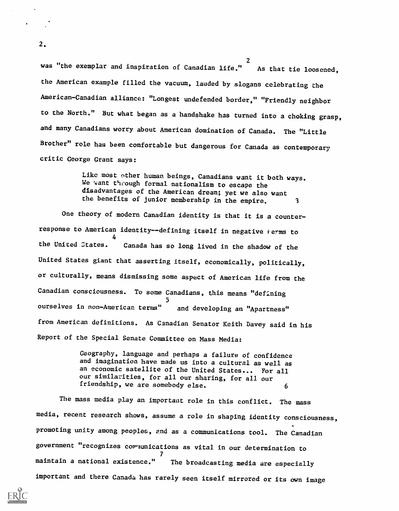2 was "the exemplar and inspiration of Canadian life." As that tie loosened, the American example filled the vacuum, lauded by slogans celebrating the American-Canadian alliance: "Longest undefended border," "Friendly neighbor to the North." But what began as a handshake has turned into a choking grasp, and many Canadians worry about American domination of Canada. The "Little Brother" role has been comfortable but dangerous for Canada as contemporary critic George Grant says:

> Like most other human beings, Canadians want it both ways. We want theough formal nationalism to escape the disadvantages of the American dream; yet we also want the benefits of junior membership in the empire. 3

One theory of modern Canadian identity is that it is a counterresponse to American identity--defining itself in negative ferms to 4 the United states. Canada has so long lived in the shadow of the United States giant that asserting itself, economically, politically, or culturally, means dismissing some aspect of American life from the Canadian consciousness. To some Canadians, this means "defining 5 ourselves in non-American terms" and developing an "Apartness" from American definitions. As Canadian Senator Keith Davey said in his Report of the Special Senate Committee on Mass Media:

> Geography, language and perhaps a failure of confidence and imagination have made us into a cultural as well as an economic satellite of the United States... For all our similarities, for all our sharing, for all our friendship, we are somebody else.  $\overline{6}$

The mass media play an important role in this conflict. The mass media, recent research shows, assume a role in shaping identity consciousness, promoting unity among peoples, and as a communications tool. The Canadian government "recognizes communications as vital in our determination to  $\mathcal{F}$  and  $\mathcal{F}$ maintain a national existence." The broadcasting media are especially important and there Canada has rarely seen itself mirrored or its own image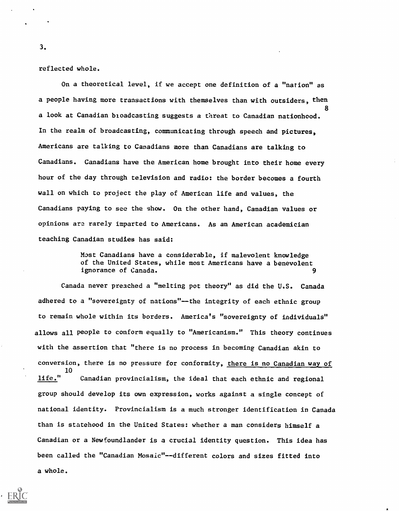reflected whole.

On a theoretical level, if we accept one definition of a "nation" as a people having more transactions with themselves than with outsiders, then a look at Canadian broadcasting suggests a threat to Canadian nationhood. In the realm of broadcasting, communicating through speech and pictures, Americans are talking to Canadians more than Canadians are talking to Canadians. Canadians have the American home brought into their home every hour of the day through television and radio: the border becomes a fourth wall on which to project the play of American life and values, the Canadians paying to see the show. On the other hand, Canadian values or opinions are rarely imparted to Americans. As an American academician teaching Canadian studies has said: 8 December 1980

> Mast Canadians have a considerable, if malevolent knowledge of the United States, while most Americans have a benevolent ignorance of Canada. 9

Canada never preached a "melting pot theory" as did the U.S. Canada adhered to a "sovereignty of nations"--the integrity of each ethnic group to remain whole within its borders. America's "sovereignty of individuals" allows all people to conform equally to "Americanism." This theory continues with the assertion that "there is no process in becoming Canadian akin to conversion, there is no pressure for conformity, there is no Canadian way of 10 life." Canadian provincialism, the ideal that each ethnic and regional group should develop its own expression, works against a single concept of national identity. Provincialism is a much stronger identification in Canada than is statehood in the United States: whether a man considers himself a Canadian or a Newfoundlander is a crucial identity question. This idea has been called the "Canadian Mosaic"--different colors and sizes fitted into a whole.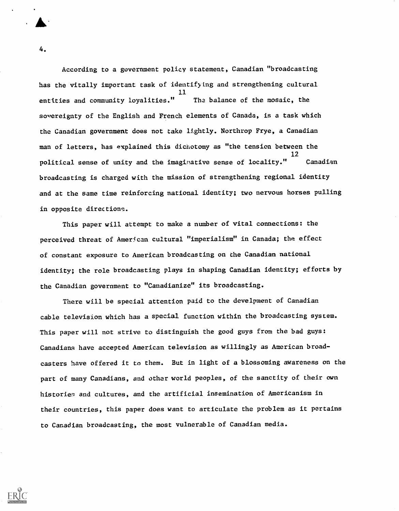According to a government policy statement, Canadian "broadcasting has the vitally important task of identifying and strengthening cultural 11 entities and community loyalities." Tha balance of the mosaic, the sovereignty of the English and French elements of Canada, is a task which the Canadian government does not take lightly. Northrop Frye, a Canadian man of letters, has explained this dichotomy as "the tension between the 12 political sense of unity and the imaginative sense of locality." Canadian broadcasting is charged with the mission of strengthening regional identity and at the same time reinforcing national identity; two nervous horses pulling in opposite directions.

This paper will attempt to make a number of vital connections: the perceived threat of American cultural "imperialism" in Canada; the effect of constant exposure to American broadcasting on the Canadian national identity; the role broadcasting plays in shaping Canadian identity; efforts by the Canadian government to "Canadianize" its broadcasting.

There will be special attention paid to the develpment of Canadian cable television which has a special function within the broadcasting system. This paper will not strive to distinguish the good guys from the bad guys: Canadians have accepted American television as willingly as American broadcasters have offered it to them. But in light of a blossoming awareness on the part of many Canadians, and other world peoples, of the sanctity of their own histories and cultures, and the artificial insemination of Americanism in their countries, this paper does want to articulate the problem as it pertains to Canadian broadcasting, the most vulnerable of Canadian media.

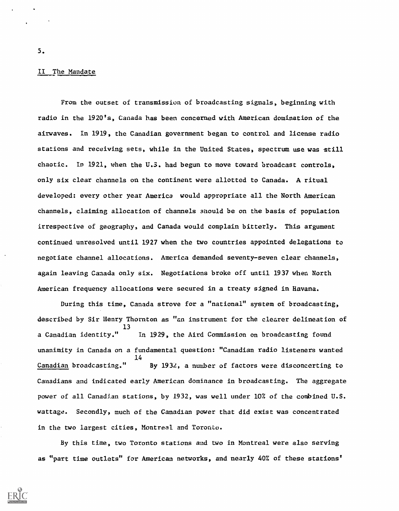## II The Mandate

From the outset of transmission of broadcasting signals, beginning with radio in the 1920's, Canada has been concerned with American domination of the airwaves. In 1919, the Canadian government began to control and license radio stations and receiving sets, while in the United States, spectrum use was still chaotic. In 1921, when the U.S. had begun to move toward broadcast controls, only six clear channels on the continent were allotted to Canada. A ritual developed: every other year America would appropriate all the North American channels, claiming allocation of channels anould be on the basis of population irrespective of geography, and Canada would complain bitterly. This argument continued unresolved until 1927 when the two countries appointed delegations to negotiate channel allocations. America demanded seventy-seven clear channels, again leaving Canada only six. Negotiations broke off until 1937 when North American frequency allocations were secured in a treaty signed in Havana.

During this time, Canada strove for a "national" system of broadcasting, described by Sir Henry Thornton as "an instrument for the clearer delineation of 13 a Canadian identity." unanimity in Canada on a fundamental question: "Canadian radio listeners wanted Canadian broadcasting." In 1929, the Aird Commission on broadcasting found 14 By 1932, a number of factors were disconcerting to Canadians and indicated early American dominance in broadcasting. The aggregate power of all Canadian stations, by 1932, was well under 10% of the combined U.S. wattage. Secondly, much of the Canadian power that did exist was concentrated in the two largest cities, Montreal and Toronto.

By this time, two Toronto stations and two in Montreal were also serving as "part time outlets" for American networks, and nearly 40% of these stations'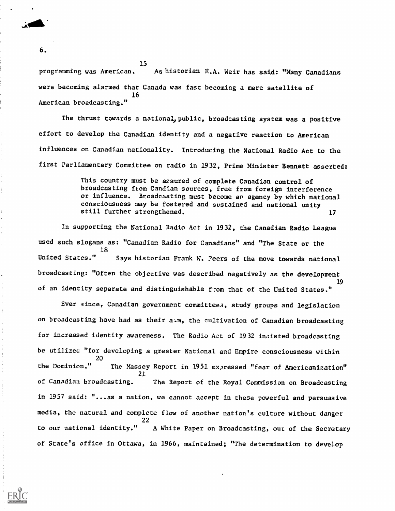programming was American. As historian E.A. Weir has said: "Many Canadians were becoming alarmed that Canada was fast becoming a mere satellite of 16 American broadcasting."

15

The thrust towards a national, public, broadcasting system was a positive effort to develop the Canadian identity and a negative reaction to American influences on Canadian nationality. Introducing the National Radio Act to the first Parliamentary Committee on radio in 1932, Prime Minister Bennett asserted:

> This country must be acsured of complete Canadian control of broadcasting from Candian sources, free from foreign interference or influence. Broadcasting must become an agency by which national consciousness may be fostered and sustained and national unity still further strengthened. 17

In supporting the National Radio Act in 1932, the Canadian Radio League used such slogans as: "Canadian Radio for Canadians" and "The State or the 18 United States." Says historian Frank W. ?eers of the move towards national broadcasting: "Often the objective was described negatively as the development 19 of an identity separate and distinguishable from that of the United States."

Ever since, Canadian government committees, study groups and legislation on broadcasting have had as their aim, the cultivation of Canadian broadcasting for increased identity awareness. The Radio Act of 19 32 insisted broadcasting be utilizea "for developing a greater National and Empire consciousness within 20 the Dominion." The Massey Report in 1951 expressed "fear of Americanization" 21 of Canadian broadcasting. The Report of the Royal Commission on Broadcasting in 1957 said: "...as a nation, we cannot accept in these powerful and persuasive media, the natural and complete flow of another nation's culture without danger 22 to our national identity." A White Paper on Broadcasting, out of the Secretary of State's office in Ottawa, in 1966, maintained; "The determination to develop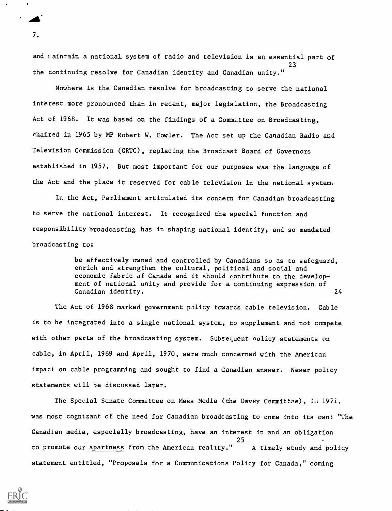and taintain a national system of radio and television is an essential part of 23 the continuing resolve for Canadian identity and Canadian unity."

Nowhere is the Canadian resolve for broadcasting to serve the national interest more pronounced than in recent, major legislation, the Broadcasting Act of 1968. It was based on the findings of a Committee on Broadcasting, chaired in 1965 by MP Robert W. Fowler. The Act set up the Canadian Radio and Television Commission (CRTC), replacing the Broadcast Board of Governors established in 1957. But most important for our purposes was the language of the Act and the place it reserved for cable television in the national system.

In the Act, Parliament articulated its concern for Canadian broadcasting to serve the national interest. It recognized the special function and responsibility broadcasting has in shaping national identity, and so mandated broadcasting to:

> be effectively owned and controlled by Canadians so as to safeguard, enrich and strengthen the cultural, political and social and economic fabric of Canada and it should contribute to the develop ment of national unity and provide for a continuing expression of Canadian identity. 24

The Act of 1968 marked government policy towards cable television. Cable is to be integrated into a single national system, to supplement and not compete with other parts of the broadcasting system. Subsequent nolicy statements on cable, in April, 1969 and April, 1970, were much concerned with the American impact on cable programming and sought to find a Canadian answer. Newer policy statements will be discussed later.

The Special Senate Committee on Mass Media (the Davey Committee), in 1971, was most cognizant of the need for Canadian broadcasting to come into its own: "The Canadian media, especially broadcasting, have an interest in and an obligation 25 to promote our apartness from the American reality." A timely study and policy statement entitled, "Proposals for a Communications Policy for Canada," coming

 $7.$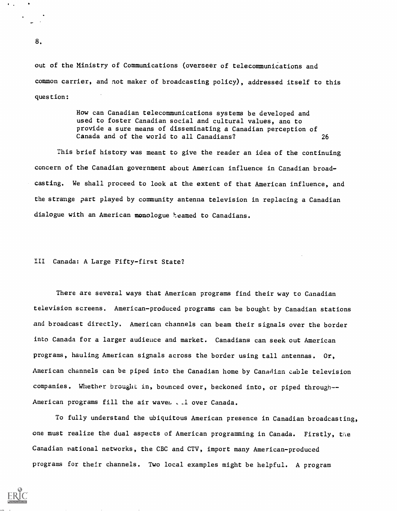out of the Ministry of Communications (overseer of telecommunications and common carrier, and not maker of broadcasting policy), addressed itself to this question:

> How can Canadian telecommunications systems be developed and used to foster Canadian social and cultural values, and to provide a sure means of disseminating a Canadian perception of Canada and of the world to all Canadians? 26

This brief history was meant to give the reader an idea of the continuing concern of the Canadian government about American influence in Canadian broadcasting. We shall proceed to look at the extent of that American influence, and the strange part played by community antenna television in replacing a Canadian dialogue with an American monologue beamed to Canadians.

## III Canada: A Large Fifty-first State?

There are several ways that American programs find their way to Canadian television screens. American-produced programs can be bought by Canadian stations and broadcast directly. American channels can beam their signals over the border into Canada for a larger audience and market. Canadians can seek out American programs, hauling American signals across the border using tall antennas. Or, American channels can be piped into the Canadian home by Canadian cable television companies. Whether brought in, bounced over, beckoned into, or piped through--American programs fill the air waves . . l over Canada.

To fully understand the ubiquitous American presence in Canadian broadcasting, one must realize the dual aspects of American programming in Canada. Firstly, the Canadian national networks, the CBC and CTV, import many American-produced programs for their channels. Two local examples might be helpful. A program